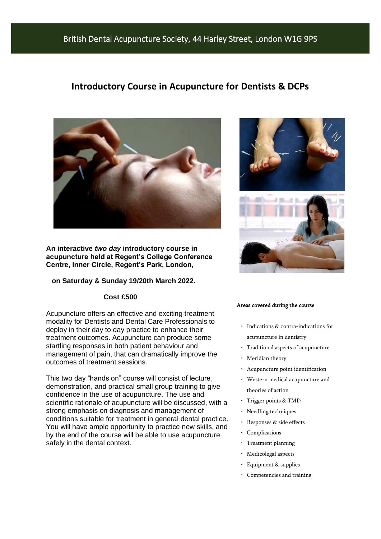### British Dental Acupuncture Society, 44 Harley Street, London W1G 9PS

### **Introductory Course in Acupuncture for Dentists & DCPs**



**An interactive** *two day* **introductory course in acupuncture held at Regent's College Conference Centre, Inner Circle, Regent's Park, London,** 

#### **on Saturday & Sunday 19/20th March 2022.**

#### **Cost £500**

Acupuncture offers an effective and exciting treatment modality for Dentists and Dental Care Professionals to deploy in their day to day practice to enhance their treatment outcomes. Acupuncture can produce some startling responses in both patient behaviour and management of pain, that can dramatically improve the outcomes of treatment sessions.

This two day "hands on" course will consist of lecture, demonstration, and practical small group training to give confidence in the use of acupuncture. The use and scientific rationale of acupuncture will be discussed, with a strong emphasis on diagnosis and management of conditions suitable for treatment in general dental practice. You will have ample opportunity to practice new skills, and by the end of the course will be able to use acupuncture safely in the dental context.



#### Areas covered during the course

- Indications & contra-indications for acupuncture in dentistry
- Traditional aspects of acupuncture
- Meridian theory
- Acupuncture point identification
- Western medical acupuncture and theories of action
- Trigger points & TMD
- Needling techniques
- Responses & side effects
- Complications
- Treatment planning
- Medicolegal aspects
- Equipment & supplies
- Competencies and training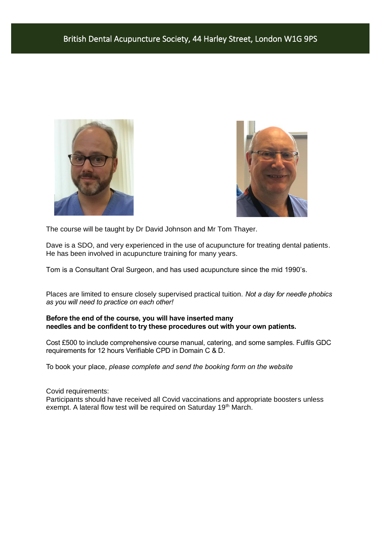



The course will be taught by Dr David Johnson and Mr Tom Thayer.

Dave is a SDO, and very experienced in the use of acupuncture for treating dental patients. He has been involved in acupuncture training for many years.

Tom is a Consultant Oral Surgeon, and has used acupuncture since the mid 1990's.

Places are limited to ensure closely supervised practical tuition. *Not a day for needle phobics as you will need to practice on each other!*

### **Before the end of the course, you will have inserted many needles and be confident to try these procedures out with your own patients.**

Cost £500 to include comprehensive course manual, catering, and some samples. Fulfils GDC requirements for 12 hours Verifiable CPD in Domain C & D.

To book your place, *please complete and send the booking form on the website*

Covid requirements:

Participants should have received all Covid vaccinations and appropriate boosters unless exempt. A lateral flow test will be required on Saturday 19<sup>th</sup> March.